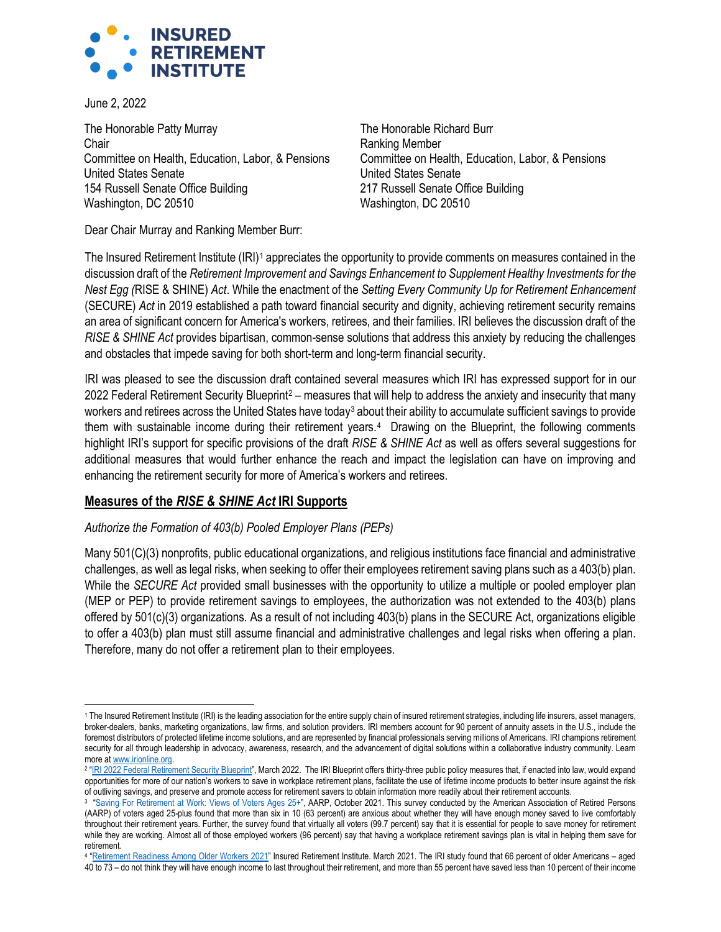

June 2, 2022

The Honorable Patty Murray **Chair** Committee on Health, Education, Labor, & Pensions United States Senate 154 Russell Senate Office Building Washington, DC 20510

The Honorable Richard Burr Ranking Member Committee on Health, Education, Labor, & Pensions United States Senate 217 Russell Senate Office Building Washington, DC 20510

Dear Chair Murray and Ranking Member Burr:

The Insured Retirement Institute (IRI)<sup>[1](#page-0-0)</sup> appreciates the opportunity to provide comments on measures contained in the discussion draft of the *Retirement Improvement and Savings Enhancement to Supplement Healthy Investments for the Nest Egg (*RISE & SHINE) *Act*. While the enactment of the *Setting Every Community Up for Retirement Enhancement* (SECURE) *Act* in 2019 established a path toward financial security and dignity, achieving retirement security remains an area of significant concern for America's workers, retirees, and their families. IRI believes the discussion draft of the *RISE & SHINE Act* provides bipartisan, common-sense solutions that address this anxiety by reducing the challenges and obstacles that impede saving for both short-term and long-term financial security.

IRI was pleased to see the discussion draft contained several measures which IRI has expressed support for in our [2](#page-0-1)022 Federal Retirement Security Blueprint<sup>2</sup> – measures that will help to address the anxiety and insecurity that many workers and retirees across the United States have today<sup>[3](#page-0-2)</sup> about their ability to accumulate sufficient savings to provide them with sustainable income during their retirement years.<sup>[4](#page-0-3)</sup> Drawing on the Blueprint, the following comments highlight IRI's support for specific provisions of the draft *RISE & SHINE Act* as well as offers several suggestions for additional measures that would further enhance the reach and impact the legislation can have on improving and enhancing the retirement security for more of America's workers and retirees.

## **Measures of the** *RISE & SHINE Act* **IRI Supports**

### *Authorize the Formation of 403(b) Pooled Employer Plans (PEPs)*

Many 501(C)(3) nonprofits, public educational organizations, and religious institutions face financial and administrative challenges, as well as legal risks, when seeking to offer their employees retirement saving plans such as a 403(b) plan. While the *SECURE Act* provided small businesses with the opportunity to utilize a multiple or pooled employer plan (MEP or PEP) to provide retirement savings to employees, the authorization was not extended to the 403(b) plans offered by 501(c)(3) organizations. As a result of not including 403(b) plans in the SECURE Act, organizations eligible to offer a 403(b) plan must still assume financial and administrative challenges and legal risks when offering a plan. Therefore, many do not offer a retirement plan to their employees.

<span id="page-0-0"></span><sup>&</sup>lt;sup>1</sup> The Insured Retirement Institute (IRI) is the leading association for the entire supply chain of insured retirement strategies, including life insurers, asset managers, broker-dealers, banks, marketing organizations, law firms, and solution providers. IRI members account for 90 percent of annuity assets in the U.S., include the foremost distributors of protected lifetime income solutions, and are represented by financial professionals serving millions of Americans. IRI champions retirement security for all through leadership in advocacy, awareness, research, and the advancement of digital solutions within a collaborative industry community. Learn more a[t www.irionline.org.](http://www.irionline.org/) 

<span id="page-0-1"></span><sup>&</sup>lt;sup>2</sup> "<u>IRI 2022 Federal Retirement Security Blueprint</u>", March 2022. The IRI Blueprint offers thirty-three public policy measures that, if enacted into law, would expand opportunities for more of our nation's workers to save in workplace retirement plans, facilitate the use of lifetime income products to better insure against the risk of outliving savings, and preserve and promote access for retirement savers to obtain information more readily about their retirement accounts.

<span id="page-0-2"></span><sup>3</sup> "Saving For Retirement at Work: Views of Voters Ages 25+", AARP, October 2021. This survey conducted by the American Association of Retired Persons (AARP) of voters aged 25-plus found that more than six in 10 (63 percent) are anxious about whether they will have enough money saved to live comfortably throughout their retirement years. Further, the survey found that virtually all voters (99.7 percent) say that it is essential for people to save money for retirement while they are working. Almost all of those employed workers (96 percent) say that having a workplace retirement savings plan is vital in helping them save for retirement.

<span id="page-0-3"></span><sup>&</sup>lt;sup>4</sup> "<u>Retirement Readiness Among Older Workers 2021</u>" Insured Retirement Institute. March 2021. The IRI study found that 66 percent of older Americans – aged 40 to 73 - do not think they will have enough income to last throughout their retirement, and more than 55 percent have saved less than 10 percent of their income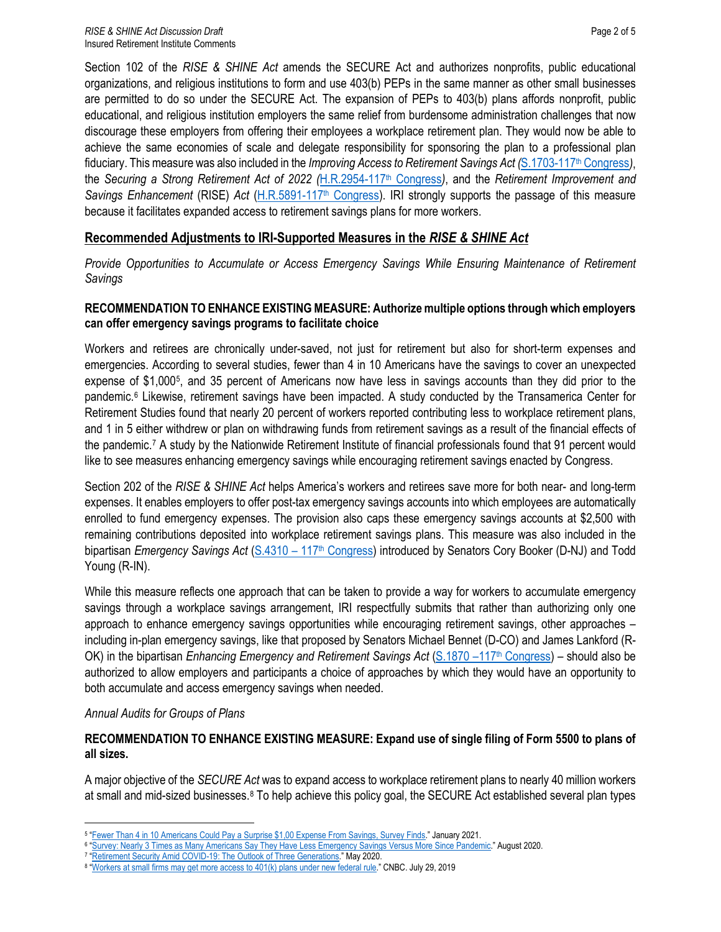Section 102 of the *RISE & SHINE Act* amends the SECURE Act and authorizes nonprofits, public educational organizations, and religious institutions to form and use 403(b) PEPs in the same manner as other small businesses are permitted to do so under the SECURE Act. The expansion of PEPs to 403(b) plans affords nonprofit, public educational, and religious institution employers the same relief from burdensome administration challenges that now discourage these employers from offering their employees a workplace retirement plan. They would now be able to achieve the same economies of scale and delegate responsibility for sponsoring the plan to a professional plan fiduciary. This measure was also included in the *Improving Access to Retirement Savings Act (*[S.1703-117](https://www.congress.gov/117/bills/s1703/BILLS-117s1703is.pdf)th Congress*)*, the *Securing a Strong Retirement Act of 2022 (*[H.R.2954-117](https://www.congress.gov/117/bills/hr2954/BILLS-117hr2954ih.pdf)th Congress*)*, and the *Retirement Improvement and Savings Enhancement* (RISE) *Act* [\(H.R.5891-117](https://www.congress.gov/117/bills/hr5891/BILLS-117hr5891rh.pdf)th Congress). IRI strongly supports the passage of this measure because it facilitates expanded access to retirement savings plans for more workers.

## **Recommended Adjustments to IRI-Supported Measures in the** *RISE & SHINE Act*

*Provide Opportunities to Accumulate or Access Emergency Savings While Ensuring Maintenance of Retirement Savings* 

#### **RECOMMENDATION TO ENHANCE EXISTING MEASURE: Authorize multiple options through which employers can offer emergency savings programs to facilitate choice**

Workers and retirees are chronically under-saved, not just for retirement but also for short-term expenses and emergencies. According to several studies, fewer than 4 in 10 Americans have the savings to cover an unexpected expense of \$1,000[5](#page-1-0) , and 35 percent of Americans now have less in savings accounts than they did prior to the pandemic.[6](#page-1-1) Likewise, retirement savings have been impacted. A study conducted by the Transamerica Center for Retirement Studies found that nearly 20 percent of workers reported contributing less to workplace retirement plans, and 1 in 5 either withdrew or plan on withdrawing funds from retirement savings as a result of the financial effects of the pandemic.[7](#page-1-2) A study by the Nationwide Retirement Institute of financial professionals found that 91 percent would like to see measures enhancing emergency savings while encouraging retirement savings enacted by Congress.

Section 202 of the *RISE & SHINE Act* helps America's workers and retirees save more for both near- and long-term expenses. It enables employers to offer post-tax emergency savings accounts into which employees are automatically enrolled to fund emergency expenses. The provision also caps these emergency savings accounts at \$2,500 with remaining contributions deposited into workplace retirement savings plans. This measure was also included in the bipartisan *Emergency Savings Act* [\(S.4310 – 117](https://www.congress.gov/bill/117th-congress/senate-bill/4310/text?q=%7B%22search%22%3A%5B%22cory+booker%22%2C%22cory%22%2C%22booker%22%5D%7D&r=1&s=4)th Congress) introduced by Senators Cory Booker (D-NJ) and Todd Young (R-IN).

While this measure reflects one approach that can be taken to provide a way for workers to accumulate emergency savings through a workplace savings arrangement, IRI respectfully submits that rather than authorizing only one approach to enhance emergency savings opportunities while encouraging retirement savings, other approaches – including in-plan emergency savings, like that proposed by Senators Michael Bennet (D-CO) and James Lankford (R-OK) in the bipartisan *Enhancing Emergency and Retirement Savings Act* [\(S.1870 –117](https://www.congress.gov/bill/117th-congress/senate-bill/1870/text?q=%7B%22search%22%3A%5B%22enhancing+emergency+and+retirement+savings%22%2C%22enhancing%22%2C%22emergency%22%2C%22and%22%2C%22retirement%22%2C%22savings%22%5D%7D&r=2&s=9)<sup>th</sup> Congress) – should also be authorized to allow employers and participants a choice of approaches by which they would have an opportunity to both accumulate and access emergency savings when needed.

#### *Annual Audits for Groups of Plans*

### **RECOMMENDATION TO ENHANCE EXISTING MEASURE: Expand use of single filing of Form 5500 to plans of all sizes.**

A major objective of the *SECURE Act* was to expand access to workplace retirement plans to nearly 40 million workers at small and mid-sized businesses.<sup>[8](#page-1-3)</sup> To help achieve this policy goal, the SECURE Act established several plan types

<span id="page-1-0"></span><sup>&</sup>lt;sup>5</sup> ["Fewer Than 4 in 10 Americans Could Pay a Surprise \\$1,00 Expense From Savings, Survey Finds."](https://www.bankrate.com/banking/savings/financial-security-january-2021/) January 2021.

<span id="page-1-2"></span><span id="page-1-1"></span><sup>6</sup> "Survey: Nearly 3 Times as Many Americans Say They Have Less Emergency Savings Versus More Since Pandemic." August 2020.

<sup>&</sup>lt;sup>7</sup> ["Retirement Security Amid COVID-19: The Outlook of Three Generations."](https://transamericacenter.org/retirement-research/20th-annual-retirement-survey) May 2020.

<span id="page-1-3"></span><sup>&</sup>lt;sup>8</sup> ["Workers at small firms may get more access to 401\(k\) plans under new federal rule."](https://www.cnbc.com/2019/07/29/workers-at-small-firms-may-get-more-access-to-401ks-under-new-rule.html) CNBC. July 29, 2019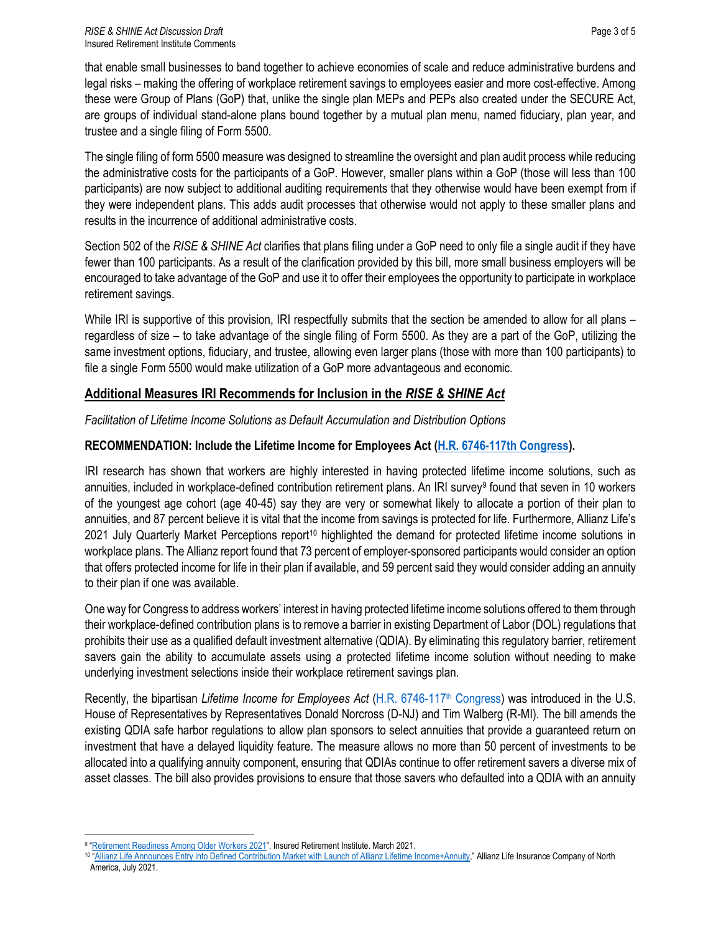that enable small businesses to band together to achieve economies of scale and reduce administrative burdens and legal risks – making the offering of workplace retirement savings to employees easier and more cost-effective. Among these were Group of Plans (GoP) that, unlike the single plan MEPs and PEPs also created under the SECURE Act, are groups of individual stand-alone plans bound together by a mutual plan menu, named fiduciary, plan year, and trustee and a single filing of Form 5500.

The single filing of form 5500 measure was designed to streamline the oversight and plan audit process while reducing the administrative costs for the participants of a GoP. However, smaller plans within a GoP (those will less than 100 participants) are now subject to additional auditing requirements that they otherwise would have been exempt from if they were independent plans. This adds audit processes that otherwise would not apply to these smaller plans and results in the incurrence of additional administrative costs.

Section 502 of the *RISE & SHINE Act* clarifies that plans filing under a GoP need to only file a single audit if they have fewer than 100 participants. As a result of the clarification provided by this bill, more small business employers will be encouraged to take advantage of the GoP and use it to offer their employees the opportunity to participate in workplace retirement savings.

While IRI is supportive of this provision, IRI respectfully submits that the section be amended to allow for all plans – regardless of size – to take advantage of the single filing of Form 5500. As they are a part of the GoP, utilizing the same investment options, fiduciary, and trustee, allowing even larger plans (those with more than 100 participants) to file a single Form 5500 would make utilization of a GoP more advantageous and economic.

# **Additional Measures IRI Recommends for Inclusion in the** *RISE & SHINE Act*

*Facilitation of Lifetime Income Solutions as Default Accumulation and Distribution Options*

## **RECOMMENDATION: Include the Lifetime Income for Employees Act [\(H.R. 6746-117th Congress\)](https://www.congress.gov/117/bills/hr6746/BILLS-117hr6746ih.pdf).**

IRI research has shown that workers are highly interested in having protected lifetime income solutions, such as annuities, included in workplace-defined contribution retirement plans. An IRI survey<sup>[9](#page-2-0)</sup> found that seven in 10 workers of the youngest age cohort (age 40-45) say they are very or somewhat likely to allocate a portion of their plan to annuities, and 87 percent believe it is vital that the income from savings is protected for life. Furthermore, Allianz Life's 2021 July Quarterly Market Perceptions report<sup>[10](#page-2-1)</sup> highlighted the demand for protected lifetime income solutions in workplace plans. The Allianz report found that 73 percent of employer-sponsored participants would consider an option that offers protected income for life in their plan if available, and 59 percent said they would consider adding an annuity to their plan if one was available.

One way for Congress to address workers' interest in having protected lifetime income solutions offered to them through their workplace-defined contribution plans is to remove a barrier in existing Department of Labor (DOL) regulations that prohibits their use as a qualified default investment alternative (QDIA). By eliminating this regulatory barrier, retirement savers gain the ability to accumulate assets using a protected lifetime income solution without needing to make underlying investment selections inside their workplace retirement savings plan.

Recently, the bipartisan *Lifetime Income for Employees Act* [\(H.R. 6746-117](https://www.congress.gov/117/bills/hr6746/BILLS-117hr6746ih.pdf)<sup>th</sup> Congress) was introduced in the U.S. House of Representatives by Representatives Donald Norcross (D-NJ) and Tim Walberg (R-MI). The bill amends the existing QDIA safe harbor regulations to allow plan sponsors to select annuities that provide a guaranteed return on investment that have a delayed liquidity feature. The measure allows no more than 50 percent of investments to be allocated into a qualifying annuity component, ensuring that QDIAs continue to offer retirement savers a diverse mix of asset classes. The bill also provides provisions to ensure that those savers who defaulted into a QDIA with an annuity

<span id="page-2-0"></span><sup>&</sup>lt;sup>9</sup> "Retirement Readiness Among Older Workers 2021", Insured Retirement Institute. March 2021.

<span id="page-2-1"></span><sup>10</sup> ["Allianz Life Announces Entry into Defined Contribution Market with Launch of Allianz Lifetime Income+Annuity,](https://www.allianzlife.com/about/newsroom/2021-press-releases/allianz-life-announces-entry-into-defined-contribution-market)" Allianz Life Insurance Company of North America, July 2021.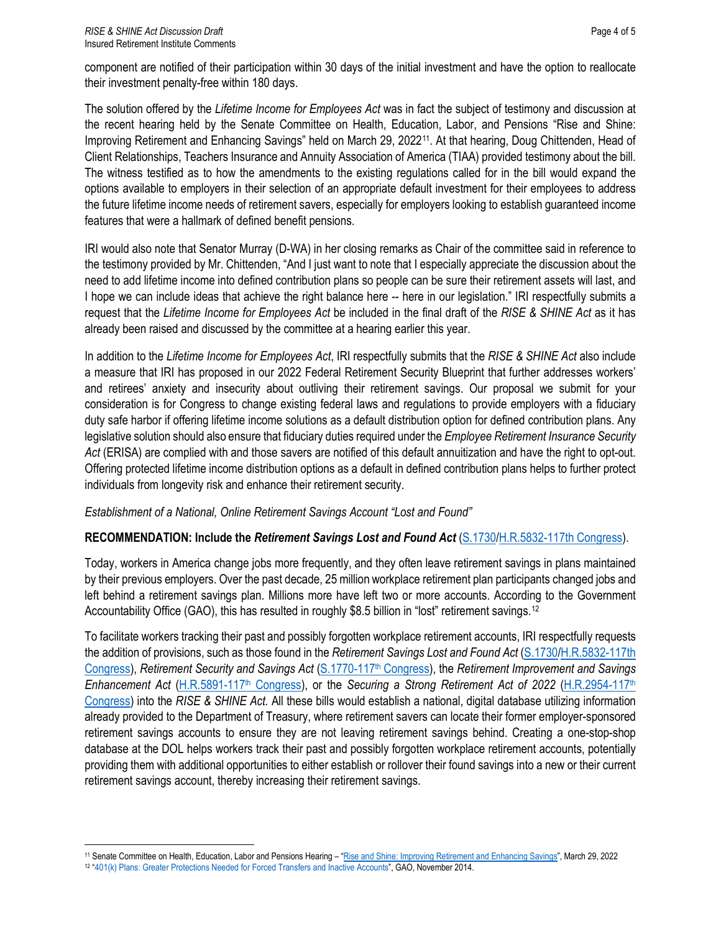The solution offered by the *Lifetime Income for Employees Act* was in fact the subject of testimony and discussion at the recent hearing held by the Senate Committee on Health, Education, Labor, and Pensions "Rise and Shine: Improving Retirement and Enhancing Savings" held on March 29, 2022<sup>[11](#page-3-0)</sup>. At that hearing, Doug Chittenden, Head of Client Relationships, Teachers Insurance and Annuity Association of America (TIAA) provided testimony about the bill. The witness testified as to how the amendments to the existing regulations called for in the bill would expand the options available to employers in their selection of an appropriate default investment for their employees to address the future lifetime income needs of retirement savers, especially for employers looking to establish guaranteed income features that were a hallmark of defined benefit pensions.

IRI would also note that Senator Murray (D-WA) in her closing remarks as Chair of the committee said in reference to the testimony provided by Mr. Chittenden, "And I just want to note that I especially appreciate the discussion about the need to add lifetime income into defined contribution plans so people can be sure their retirement assets will last, and I hope we can include ideas that achieve the right balance here -- here in our legislation." IRI respectfully submits a request that the *Lifetime Income for Employees Act* be included in the final draft of the *RISE & SHINE Act* as it has already been raised and discussed by the committee at a hearing earlier this year.

In addition to the *Lifetime Income for Employees Act*, IRI respectfully submits that the *RISE & SHINE Act* also include a measure that IRI has proposed in our 2022 Federal Retirement Security Blueprint that further addresses workers' and retirees' anxiety and insecurity about outliving their retirement savings. Our proposal we submit for your consideration is for Congress to change existing federal laws and regulations to provide employers with a fiduciary duty safe harbor if offering lifetime income solutions as a default distribution option for defined contribution plans. Any legislative solution should also ensure that fiduciary duties required under the *Employee Retirement Insurance Security Act* (ERISA) are complied with and those savers are notified of this default annuitization and have the right to opt-out. Offering protected lifetime income distribution options as a default in defined contribution plans helps to further protect individuals from longevity risk and enhance their retirement security.

### *Establishment of a National, Online Retirement Savings Account "Lost and Found"*

## **RECOMMENDATION: Include the** *Retirement Savings Lost and Found Act* [\(S.1730/](https://www.congress.gov/117/bills/s1730/BILLS-117s1730is.pdf)[H.R.5832-117th Congress\)](https://www.congress.gov/bill/117th-congress/house-bill/5832).

Today, workers in America change jobs more frequently, and they often leave retirement savings in plans maintained by their previous employers. Over the past decade, 25 million workplace retirement plan participants changed jobs and left behind a retirement savings plan. Millions more have left two or more accounts. According to the Government Accountability Office (GAO), this has resulted in roughly \$8.5 billion in "lost" retirement savings.<sup>[12](#page-3-1)</sup>

To facilitate workers tracking their past and possibly forgotten workplace retirement accounts, IRI respectfully requests the addition of provisions, such as those found in the *Retirement Savings Lost and Found Act* [\(S.1730](https://www.congress.gov/117/bills/s1730/BILLS-117s1730is.pdf)[/H.R.5832-117th](https://www.congress.gov/bill/117th-congress/house-bill/5832)  [Congress\)](https://www.congress.gov/bill/117th-congress/house-bill/5832), *Retirement Security and Savings Act* [\(S.1770-117](https://www.congress.gov/117/bills/s1770/BILLS-117s1770is.pdf)th Congress), the *Retirement Improvement and Savings Enhancement Act* [\(H.R.5891-117](https://www.congress.gov/117/bills/hr5891/BILLS-117hr5891rh.pdf)<sup>th</sup> Congress), or the *Securing a Strong Retirement Act of 2022* [\(H.R.2954-117](https://www.congress.gov/117/bills/hr2954/BILLS-117hr2954ih.pdf)<sup>th</sup> [Congress\)](https://www.congress.gov/117/bills/hr2954/BILLS-117hr2954ih.pdf) into the *RISE & SHINE Act.* All these bills would establish a national, digital database utilizing information already provided to the Department of Treasury, where retirement savers can locate their former employer-sponsored retirement savings accounts to ensure they are not leaving retirement savings behind. Creating a one-stop-shop database at the DOL helps workers track their past and possibly forgotten workplace retirement accounts, potentially providing them with additional opportunities to either establish or rollover their found savings into a new or their current retirement savings account, thereby increasing their retirement savings.

<span id="page-3-1"></span><span id="page-3-0"></span><sup>11</sup> Senate Committee on Health, Education, Labor and Pensions Hearing – ["Rise and Shine: Improving Retirement and Enhancing Savings",](https://www.help.senate.gov/hearings/rise-and-shine-improving-retirement-and-enhancing-savings) March 29, 2022 12 "401(k) Plans: Greater Protections Needed for Forced Transfers and Inactive Accounts", GAO, November 2014.